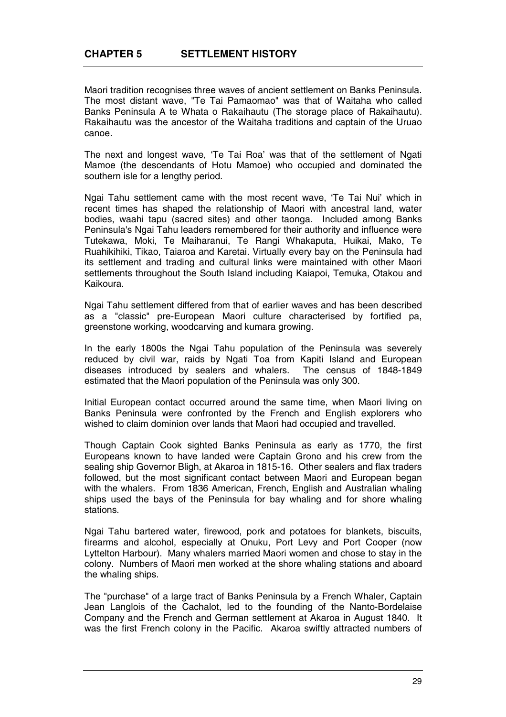Maori tradition recognises three waves of ancient settlement on Banks Peninsula. The most distant wave, "Te Tai Pamaomao" was that of Waitaha who called Banks Peninsula A te Whata o Rakaihautu (The storage place of Rakaihautu). Rakaihautu was the ancestor of the Waitaha traditions and captain of the Uruao canoe.

The next and longest wave, 'Te Tai Roa' was that of the settlement of Ngati Mamoe (the descendants of Hotu Mamoe) who occupied and dominated the southern isle for a lengthy period.

Ngai Tahu settlement came with the most recent wave, 'Te Tai Nui' which in recent times has shaped the relationship of Maori with ancestral land, water bodies, waahi tapu (sacred sites) and other taonga. Included among Banks Peninsula's Ngai Tahu leaders remembered for their authority and influence were Tutekawa, Moki, Te Maiharanui, Te Rangi Whakaputa, Huikai, Mako, Te Ruahikihiki, Tikao, Taiaroa and Karetai. Virtually every bay on the Peninsula had its settlement and trading and cultural links were maintained with other Maori settlements throughout the South Island including Kaiapoi, Temuka, Otakou and Kaikoura.

Ngai Tahu settlement differed from that of earlier waves and has been described as a "classic" pre-European Maori culture characterised by fortified pa, greenstone working, woodcarving and kumara growing.

In the early 1800s the Ngai Tahu population of the Peninsula was severely reduced by civil war, raids by Ngati Toa from Kapiti Island and European diseases introduced by sealers and whalers. The census of 1848-1849 estimated that the Maori population of the Peninsula was only 300.

Initial European contact occurred around the same time, when Maori living on Banks Peninsula were confronted by the French and English explorers who wished to claim dominion over lands that Maori had occupied and travelled.

Though Captain Cook sighted Banks Peninsula as early as 1770, the first Europeans known to have landed were Captain Grono and his crew from the sealing ship Governor Bligh, at Akaroa in 1815-16. Other sealers and flax traders followed, but the most significant contact between Maori and European began with the whalers. From 1836 American, French, English and Australian whaling ships used the bays of the Peninsula for bay whaling and for shore whaling stations.

Ngai Tahu bartered water, firewood, pork and potatoes for blankets, biscuits, firearms and alcohol, especially at Onuku, Port Levy and Port Cooper (now Lyttelton Harbour). Many whalers married Maori women and chose to stay in the colony. Numbers of Maori men worked at the shore whaling stations and aboard the whaling ships.

The "purchase" of a large tract of Banks Peninsula by a French Whaler, Captain Jean Langlois of the Cachalot, led to the founding of the Nanto-Bordelaise Company and the French and German settlement at Akaroa in August 1840. It was the first French colony in the Pacific. Akaroa swiftly attracted numbers of